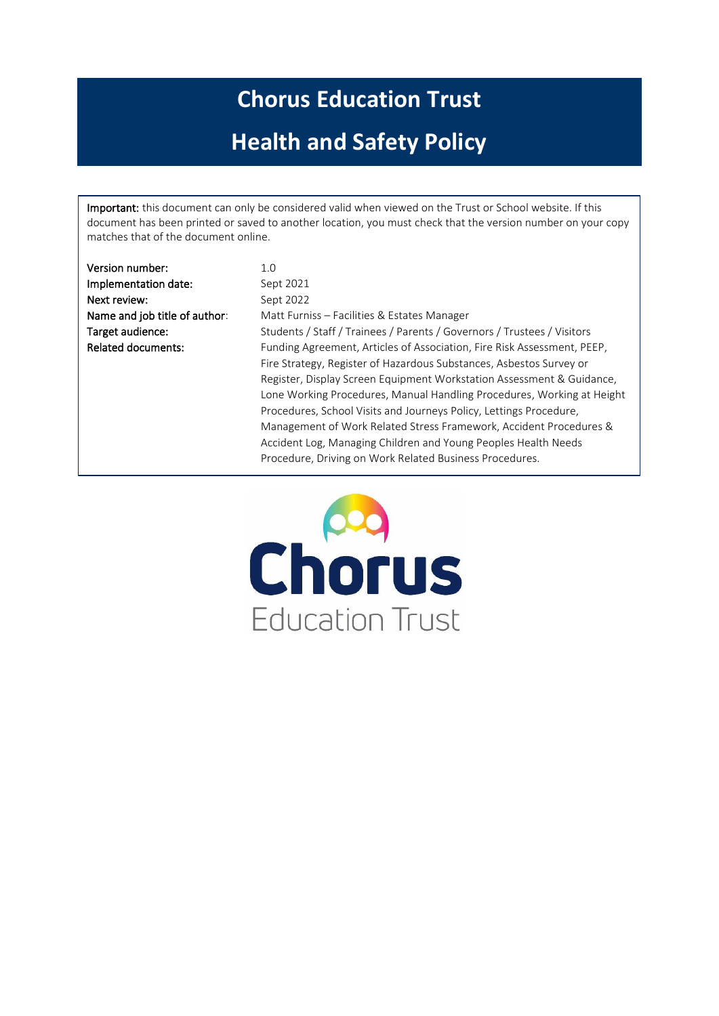# **Chorus Education Trust**

# **Health and Safety Policy**

Important: this document can only be considered valid when viewed on the Trust or School website. If this document has been printed or saved to another location, you must check that the version number on your copy matches that of the document online.

| Version number:               | 1.0                                                                     |
|-------------------------------|-------------------------------------------------------------------------|
| Implementation date:          | Sept 2021                                                               |
| Next review:                  | Sept 2022                                                               |
| Name and job title of author: | Matt Furniss – Facilities & Estates Manager                             |
| Target audience:              | Students / Staff / Trainees / Parents / Governors / Trustees / Visitors |
| <b>Related documents:</b>     | Funding Agreement, Articles of Association, Fire Risk Assessment, PEEP, |
|                               | Fire Strategy, Register of Hazardous Substances, Asbestos Survey or     |
|                               | Register, Display Screen Equipment Workstation Assessment & Guidance,   |
|                               | Lone Working Procedures, Manual Handling Procedures, Working at Height  |
|                               | Procedures, School Visits and Journeys Policy, Lettings Procedure,      |
|                               | Management of Work Related Stress Framework, Accident Procedures &      |
|                               | Accident Log, Managing Children and Young Peoples Health Needs          |
|                               | Procedure, Driving on Work Related Business Procedures.                 |
|                               |                                                                         |

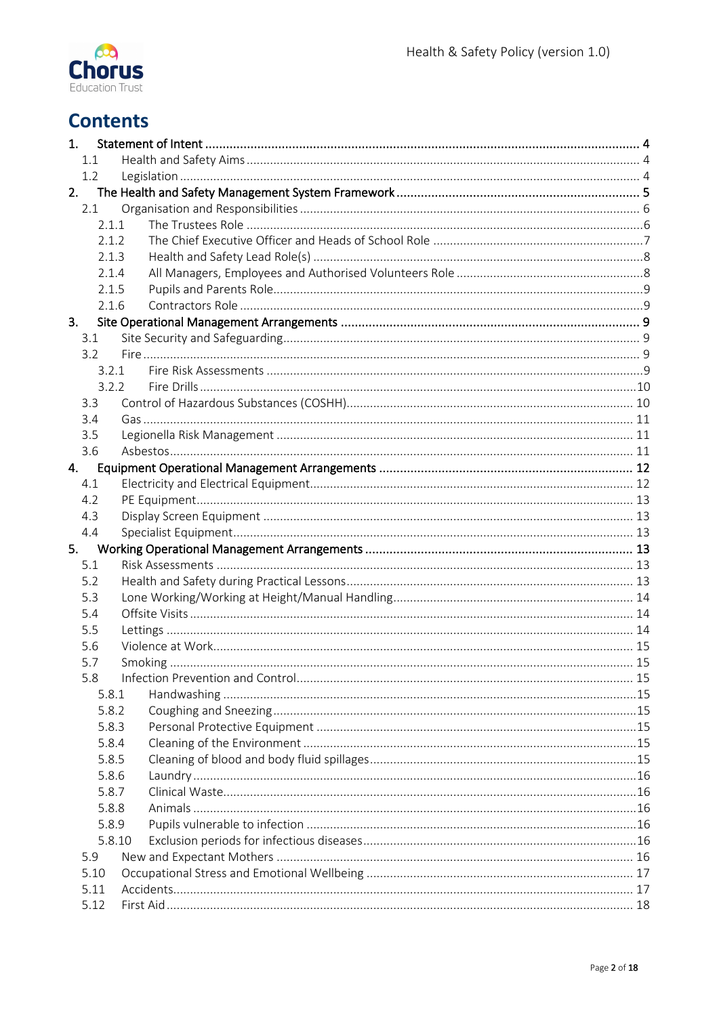

# **Contents**

| 1.                      |       |  |  |  |  |
|-------------------------|-------|--|--|--|--|
|                         | 1.1   |  |  |  |  |
|                         | 1.2   |  |  |  |  |
|                         | 2.    |  |  |  |  |
|                         | 2.1   |  |  |  |  |
|                         | 2.1.1 |  |  |  |  |
|                         | 2.1.2 |  |  |  |  |
|                         | 2.1.3 |  |  |  |  |
|                         | 2.1.4 |  |  |  |  |
|                         | 2.1.5 |  |  |  |  |
|                         | 2.1.6 |  |  |  |  |
| 3.                      |       |  |  |  |  |
|                         | 3.1   |  |  |  |  |
|                         | 3.2   |  |  |  |  |
|                         | 3.2.1 |  |  |  |  |
|                         | 3.2.2 |  |  |  |  |
|                         | 3.3   |  |  |  |  |
|                         | 3.4   |  |  |  |  |
|                         | 3.5   |  |  |  |  |
|                         | 3.6   |  |  |  |  |
|                         | 4.    |  |  |  |  |
|                         | 4.1   |  |  |  |  |
|                         | 4.2   |  |  |  |  |
|                         | 4.3   |  |  |  |  |
|                         | 4.4   |  |  |  |  |
|                         |       |  |  |  |  |
|                         | 5.1   |  |  |  |  |
|                         | 5.2   |  |  |  |  |
|                         | 5.3   |  |  |  |  |
|                         | 5.4   |  |  |  |  |
|                         | 5.5   |  |  |  |  |
|                         | 5.6   |  |  |  |  |
|                         | 5.7   |  |  |  |  |
|                         | 5.8   |  |  |  |  |
|                         | 5.8.1 |  |  |  |  |
|                         | 5.8.2 |  |  |  |  |
|                         | 5.8.3 |  |  |  |  |
|                         | 5.8.4 |  |  |  |  |
|                         | 5.8.5 |  |  |  |  |
|                         | 5.8.6 |  |  |  |  |
| 5.8.7<br>5.8.8<br>5.8.9 |       |  |  |  |  |
|                         |       |  |  |  |  |
|                         |       |  |  |  |  |
| 5.8.10                  |       |  |  |  |  |
|                         | 5.9   |  |  |  |  |
| 5.10                    |       |  |  |  |  |
|                         | 5.11  |  |  |  |  |
|                         | 5.12  |  |  |  |  |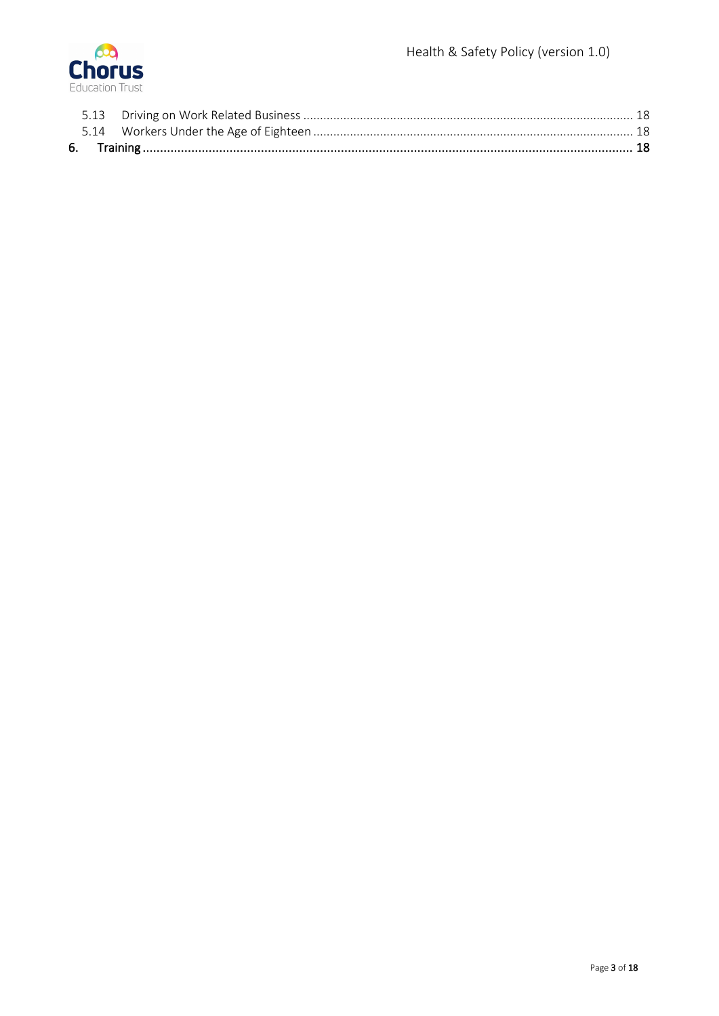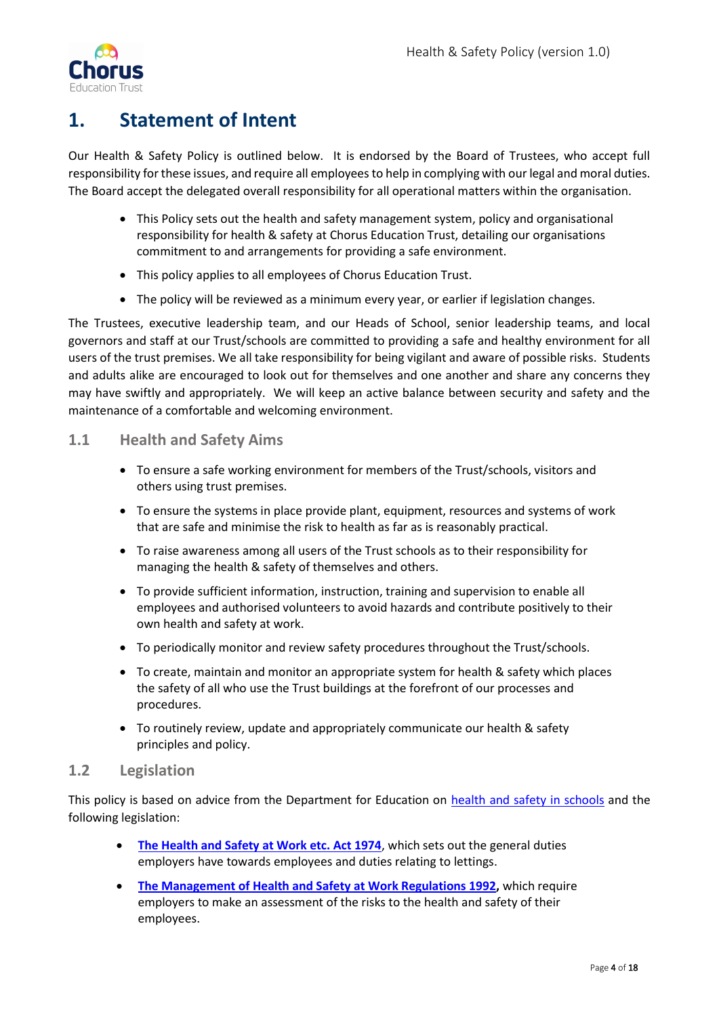

# <span id="page-3-0"></span>**1. Statement of Intent**

Our Health & Safety Policy is outlined below. It is endorsed by the Board of Trustees, who accept full responsibility for these issues, and require all employees to help in complying with our legal and moral duties. The Board accept the delegated overall responsibility for all operational matters within the organisation.

- This Policy sets out the health and safety management system, policy and organisational responsibility for health & safety at Chorus Education Trust, detailing our organisations commitment to and arrangements for providing a safe environment.
- This policy applies to all employees of Chorus Education Trust.
- The policy will be reviewed as a minimum every year, or earlier if legislation changes.

The Trustees, executive leadership team, and our Heads of School, senior leadership teams, and local governors and staff at our Trust/schools are committed to providing a safe and healthy environment for all users of the trust premises. We all take responsibility for being vigilant and aware of possible risks. Students and adults alike are encouraged to look out for themselves and one another and share any concerns they may have swiftly and appropriately. We will keep an active balance between security and safety and the maintenance of a comfortable and welcoming environment.

# <span id="page-3-1"></span>**1.1 Health and Safety Aims**

- To ensure a safe working environment for members of the Trust/schools, visitors and others using trust premises.
- To ensure the systems in place provide plant, equipment, resources and systems of work that are safe and minimise the risk to health as far as is reasonably practical.
- To raise awareness among all users of the Trust schools as to their responsibility for managing the health & safety of themselves and others.
- To provide sufficient information, instruction, training and supervision to enable all employees and authorised volunteers to avoid hazards and contribute positively to their own health and safety at work.
- To periodically monitor and review safety procedures throughout the Trust/schools.
- To create, maintain and monitor an appropriate system for health & safety which places the safety of all who use the Trust buildings at the forefront of our processes and procedures.
- To routinely review, update and appropriately communicate our health & safety principles and policy.

# <span id="page-3-2"></span>**1.2 Legislation**

This policy is based on advice from the Department for Education on [health and safety in schools](https://www.gov.uk/government/publications/health-and-safety-advice-for-schools) and the following legislation:

- **[The Health and Safety at Work etc. Act 1974](http://www.legislation.gov.uk/ukpga/1974/37)**, which sets out the general duties employers have towards employees and duties relating to lettings.
- **[The Management of Health and Safety at Work Regulations 1992,](http://www.legislation.gov.uk/uksi/1992/2051/regulation/3/made)** which require employers to make an assessment of the risks to the health and safety of their employees.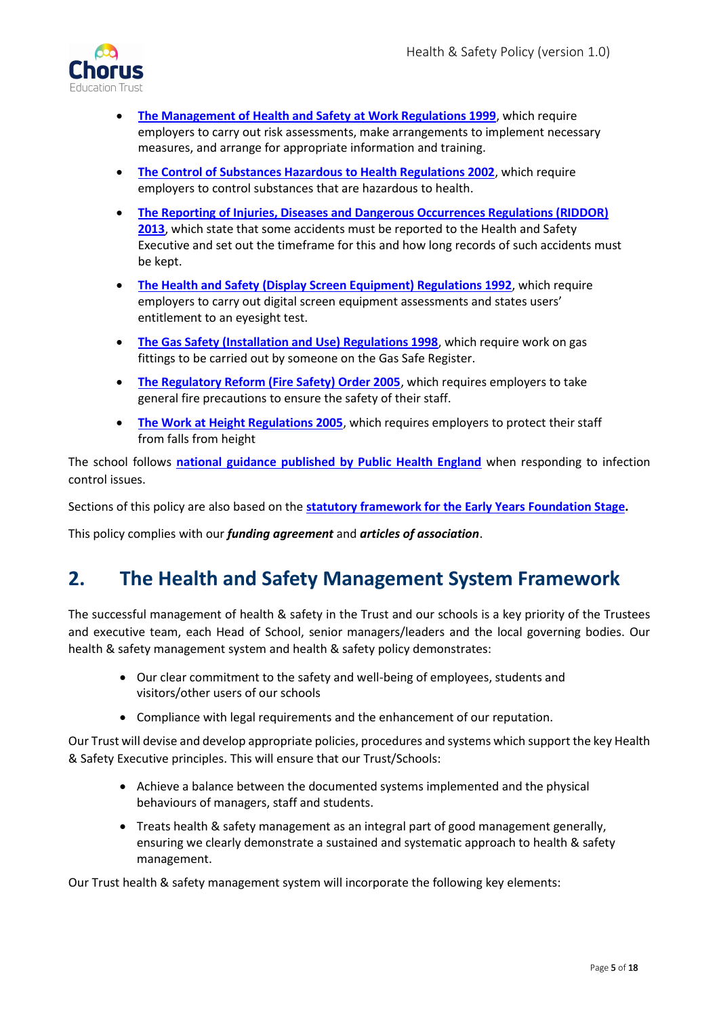

- **[The Management of Health and Safety at Work Regulations 1999](http://www.legislation.gov.uk/uksi/1999/3242/contents/made)**, which require employers to carry out risk assessments, make arrangements to implement necessary measures, and arrange for appropriate information and training.
- **[The Control of Substances Hazardous to Health Regulations 2002](http://www.legislation.gov.uk/uksi/2002/2677/contents/made)**, which require employers to control substances that are hazardous to health.
- **[The Reporting of Injuries, Diseases and Dangerous Occurrences Regulations \(RIDDOR\)](http://www.legislation.gov.uk/uksi/2013/1471/schedule/1/paragraph/1/made)  [2013](http://www.legislation.gov.uk/uksi/2013/1471/schedule/1/paragraph/1/made)**, which state that some accidents must be reported to the Health and Safety Executive and set out the timeframe for this and how long records of such accidents must be kept.
- **[The Health and Safety \(Display Screen Equipment\) Regulations 1992](http://www.legislation.gov.uk/uksi/1992/2792/contents/made)**, which require employers to carry out digital screen equipment assessments and states users' entitlement to an eyesight test.
- **[The Gas Safety \(Installation and Use\) Regulations 1998](http://www.legislation.gov.uk/uksi/1998/2451/regulation/4/made)**, which require work on gas fittings to be carried out by someone on the Gas Safe Register.
- **[The Regulatory Reform \(Fire Safety\) Order 2005](http://www.legislation.gov.uk/uksi/2005/1541/part/2/made)**, which requires employers to take general fire precautions to ensure the safety of their staff.
- **[The Work at Height Regulations 2005](http://www.legislation.gov.uk/uksi/2005/735/contents/made)**, which requires employers to protect their staff from falls from height

The school follows **[national guidance published by Public Health England](https://www.gov.uk/government/publications/health-protection-in-schools-and-other-childcare-facilities/chapter-9-managing-specific-infectious-diseases)** when responding to infection control issues.

Sections of this policy are also based on the **[statutory framework for the Early Years Foundation Stage.](https://www.gov.uk/government/publications/early-years-foundation-stage-framework--2)**

This policy complies with our *funding agreement* and *articles of association*.

# <span id="page-4-0"></span>**2. The Health and Safety Management System Framework**

The successful management of health & safety in the Trust and our schools is a key priority of the Trustees and executive team, each Head of School, senior managers/leaders and the local governing bodies. Our health & safety management system and health & safety policy demonstrates:

- Our clear commitment to the safety and well-being of employees, students and visitors/other users of our schools
- Compliance with legal requirements and the enhancement of our reputation.

Our Trust will devise and develop appropriate policies, procedures and systems which support the key Health & Safety Executive principles. This will ensure that our Trust/Schools:

- Achieve a balance between the documented systems implemented and the physical behaviours of managers, staff and students.
- Treats health & safety management as an integral part of good management generally, ensuring we clearly demonstrate a sustained and systematic approach to health & safety management.

Our Trust health & safety management system will incorporate the following key elements: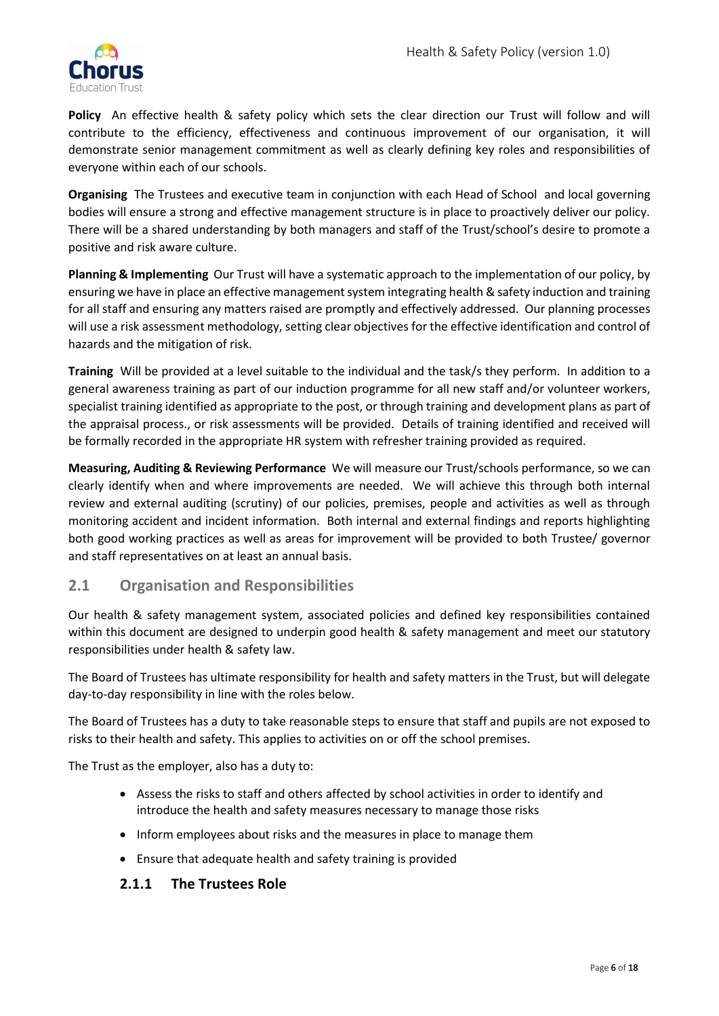

**Policy** An effective health & safety policy which sets the clear direction our Trust will follow and will contribute to the efficiency, effectiveness and continuous improvement of our organisation, it will demonstrate senior management commitment as well as clearly defining key roles and responsibilities of everyone within each of our schools.

**Organising** The Trustees and executive team in conjunction with each Head of School and local governing bodies will ensure a strong and effective management structure is in place to proactively deliver our policy. There will be a shared understanding by both managers and staff of the Trust/school's desire to promote a positive and risk aware culture.

**Planning & Implementing** Our Trust will have a systematic approach to the implementation of our policy, by ensuring we have in place an effective management system integrating health & safety induction and training for all staff and ensuring any matters raised are promptly and effectively addressed. Our planning processes will use a risk assessment methodology, setting clear objectives for the effective identification and control of hazards and the mitigation of risk.

**Training** Will be provided at a level suitable to the individual and the task/s they perform. In addition to a general awareness training as part of our induction programme for all new staff and/or volunteer workers, specialist training identified as appropriate to the post, or through training and development plans as part of the appraisal process., or risk assessments will be provided. Details of training identified and received will be formally recorded in the appropriate HR system with refresher training provided as required.

**Measuring, Auditing & Reviewing Performance** We will measure our Trust/schools performance, so we can clearly identify when and where improvements are needed. We will achieve this through both internal review and external auditing (scrutiny) of our policies, premises, people and activities as well as through monitoring accident and incident information. Both internal and external findings and reports highlighting both good working practices as well as areas for improvement will be provided to both Trustee/ governor and staff representatives on at least an annual basis.

# <span id="page-5-0"></span>**2.1 Organisation and Responsibilities**

Our health & safety management system, associated policies and defined key responsibilities contained within this document are designed to underpin good health & safety management and meet our statutory responsibilities under health & safety law.

The Board of Trustees has ultimate responsibility for health and safety matters in the Trust, but will delegate day-to-day responsibility in line with the roles below.

The Board of Trustees has a duty to take reasonable steps to ensure that staff and pupils are not exposed to risks to their health and safety. This applies to activities on or off the school premises.

The Trust as the employer, also has a duty to:

- Assess the risks to staff and others affected by school activities in order to identify and introduce the health and safety measures necessary to manage those risks
- Inform employees about risks and the measures in place to manage them
- Ensure that adequate health and safety training is provided

#### <span id="page-5-1"></span>**2.1.1 The Trustees Role**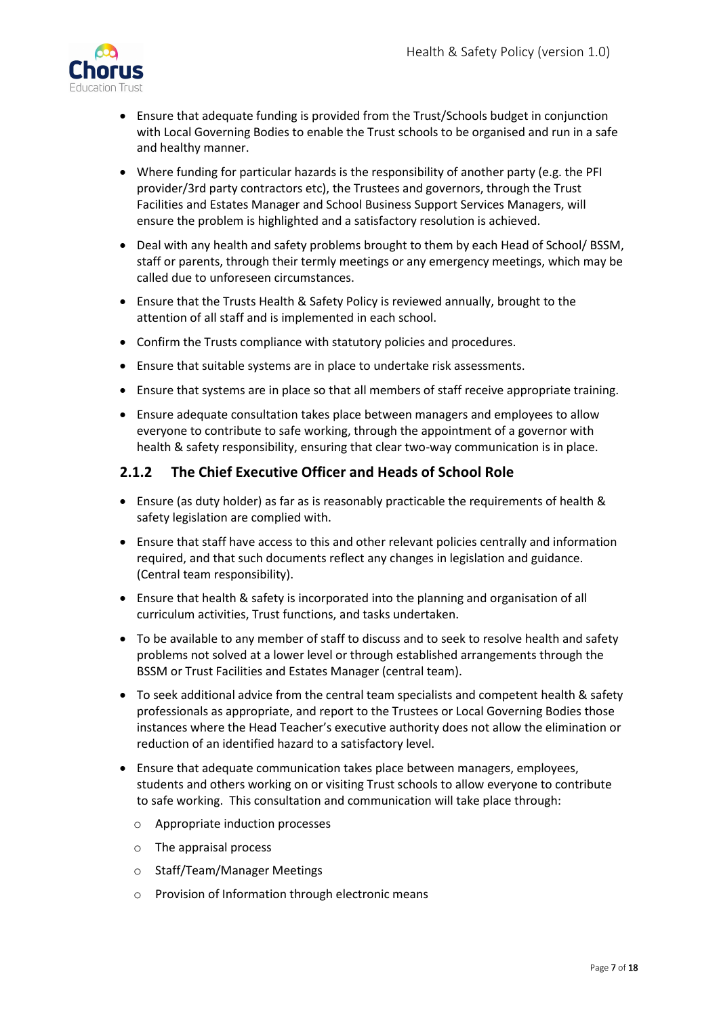

- Ensure that adequate funding is provided from the Trust/Schools budget in conjunction with Local Governing Bodies to enable the Trust schools to be organised and run in a safe and healthy manner.
- Where funding for particular hazards is the responsibility of another party (e.g. the PFI provider/3rd party contractors etc), the Trustees and governors, through the Trust Facilities and Estates Manager and School Business Support Services Managers, will ensure the problem is highlighted and a satisfactory resolution is achieved.
- Deal with any health and safety problems brought to them by each Head of School/ BSSM, staff or parents, through their termly meetings or any emergency meetings, which may be called due to unforeseen circumstances.
- Ensure that the Trusts Health & Safety Policy is reviewed annually, brought to the attention of all staff and is implemented in each school.
- Confirm the Trusts compliance with statutory policies and procedures.
- Ensure that suitable systems are in place to undertake risk assessments.
- Ensure that systems are in place so that all members of staff receive appropriate training.
- Ensure adequate consultation takes place between managers and employees to allow everyone to contribute to safe working, through the appointment of a governor with health & safety responsibility, ensuring that clear two-way communication is in place.

#### <span id="page-6-0"></span>**2.1.2 The Chief Executive Officer and Heads of School Role**

- Ensure (as duty holder) as far as is reasonably practicable the requirements of health & safety legislation are complied with.
- Ensure that staff have access to this and other relevant policies centrally and information required, and that such documents reflect any changes in legislation and guidance. (Central team responsibility).
- Ensure that health & safety is incorporated into the planning and organisation of all curriculum activities, Trust functions, and tasks undertaken.
- To be available to any member of staff to discuss and to seek to resolve health and safety problems not solved at a lower level or through established arrangements through the BSSM or Trust Facilities and Estates Manager (central team).
- To seek additional advice from the central team specialists and competent health & safety professionals as appropriate, and report to the Trustees or Local Governing Bodies those instances where the Head Teacher's executive authority does not allow the elimination or reduction of an identified hazard to a satisfactory level.
- Ensure that adequate communication takes place between managers, employees, students and others working on or visiting Trust schools to allow everyone to contribute to safe working. This consultation and communication will take place through:
	- o Appropriate induction processes
	- o The appraisal process
	- o Staff/Team/Manager Meetings
	- o Provision of Information through electronic means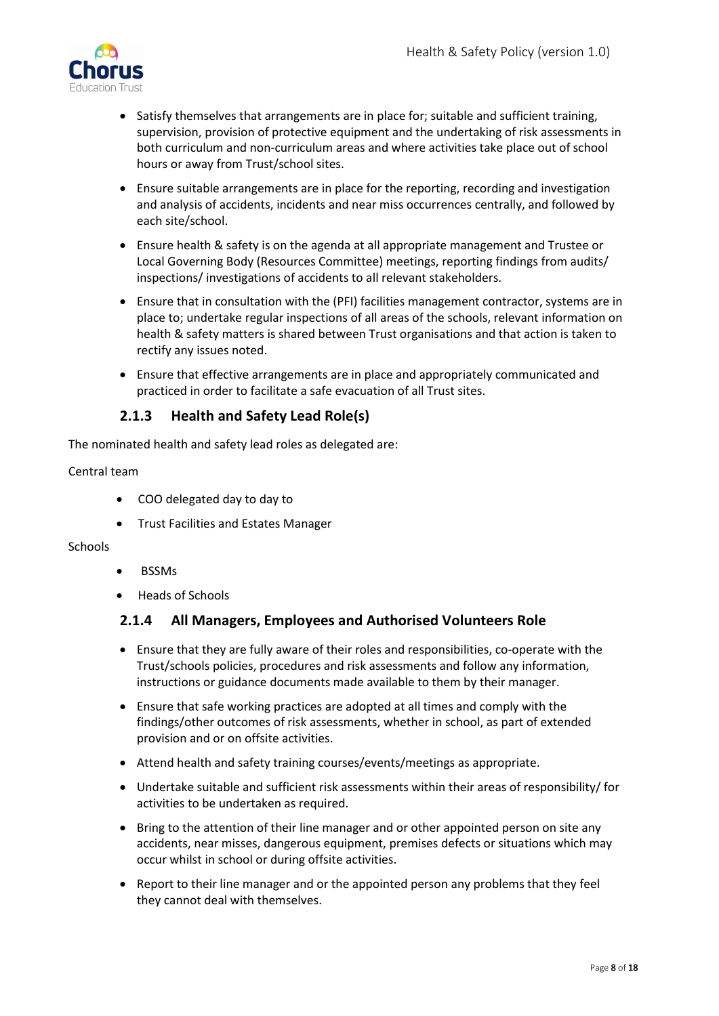

- Satisfy themselves that arrangements are in place for; suitable and sufficient training, supervision, provision of protective equipment and the undertaking of risk assessments in both curriculum and non-curriculum areas and where activities take place out of school hours or away from Trust/school sites.
- Ensure suitable arrangements are in place for the reporting, recording and investigation and analysis of accidents, incidents and near miss occurrences centrally, and followed by each site/school.
- Ensure health & safety is on the agenda at all appropriate management and Trustee or Local Governing Body (Resources Committee) meetings, reporting findings from audits/ inspections/ investigations of accidents to all relevant stakeholders.
- Ensure that in consultation with the (PFI) facilities management contractor, systems are in place to; undertake regular inspections of all areas of the schools, relevant information on health & safety matters is shared between Trust organisations and that action is taken to rectify any issues noted.
- Ensure that effective arrangements are in place and appropriately communicated and practiced in order to facilitate a safe evacuation of all Trust sites.

# **2.1.3 Health and Safety Lead Role(s)**

<span id="page-7-0"></span>The nominated health and safety lead roles as delegated are:

#### Central team

- COO delegated day to day to
- Trust Facilities and Estates Manager

#### Schools

- BSSMs
- Heads of Schools

#### <span id="page-7-1"></span>**2.1.4 All Managers, Employees and Authorised Volunteers Role**

- Ensure that they are fully aware of their roles and responsibilities, co-operate with the Trust/schools policies, procedures and risk assessments and follow any information, instructions or guidance documents made available to them by their manager.
- Ensure that safe working practices are adopted at all times and comply with the findings/other outcomes of risk assessments, whether in school, as part of extended provision and or on offsite activities.
- Attend health and safety training courses/events/meetings as appropriate.
- Undertake suitable and sufficient risk assessments within their areas of responsibility/ for activities to be undertaken as required.
- Bring to the attention of their line manager and or other appointed person on site any accidents, near misses, dangerous equipment, premises defects or situations which may occur whilst in school or during offsite activities.
- Report to their line manager and or the appointed person any problems that they feel they cannot deal with themselves.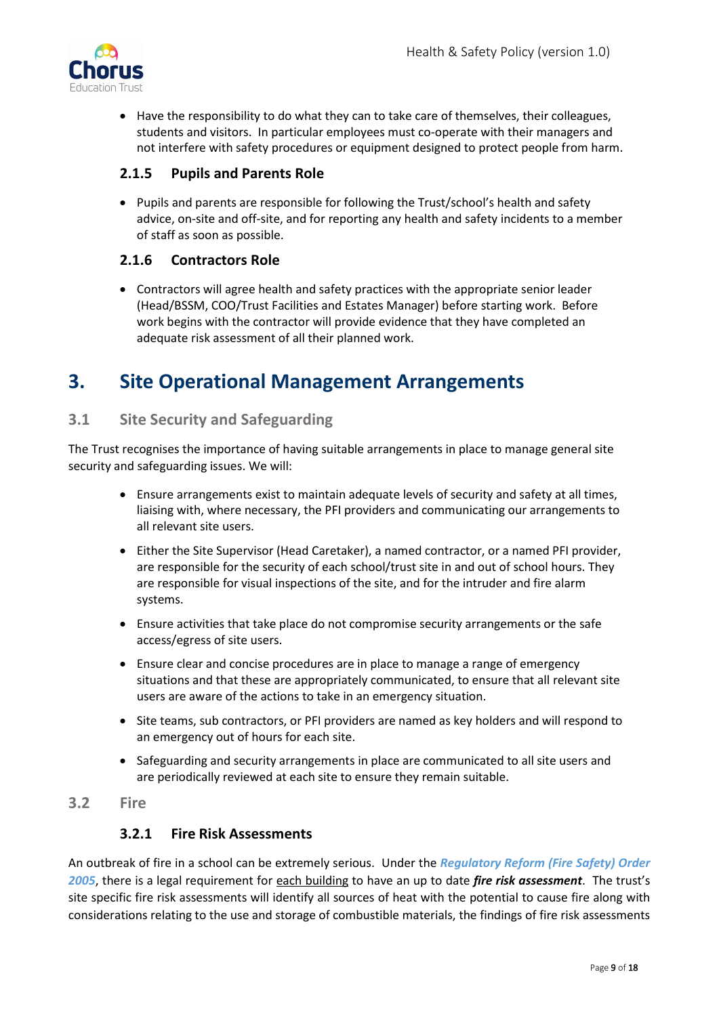

• Have the responsibility to do what they can to take care of themselves, their colleagues, students and visitors. In particular employees must co-operate with their managers and not interfere with safety procedures or equipment designed to protect people from harm.

# <span id="page-8-0"></span>**2.1.5 Pupils and Parents Role**

• Pupils and parents are responsible for following the Trust/school's health and safety advice, on-site and off-site, and for reporting any health and safety incidents to a member of staff as soon as possible.

# <span id="page-8-1"></span>**2.1.6 Contractors Role**

• Contractors will agree health and safety practices with the appropriate senior leader (Head/BSSM, COO/Trust Facilities and Estates Manager) before starting work. Before work begins with the contractor will provide evidence that they have completed an adequate risk assessment of all their planned work.

# <span id="page-8-2"></span>**3. Site Operational Management Arrangements**

# <span id="page-8-3"></span>**3.1 Site Security and Safeguarding**

The Trust recognises the importance of having suitable arrangements in place to manage general site security and safeguarding issues. We will:

- Ensure arrangements exist to maintain adequate levels of security and safety at all times, liaising with, where necessary, the PFI providers and communicating our arrangements to all relevant site users.
- Either the Site Supervisor (Head Caretaker), a named contractor, or a named PFI provider, are responsible for the security of each school/trust site in and out of school hours. They are responsible for visual inspections of the site, and for the intruder and fire alarm systems.
- Ensure activities that take place do not compromise security arrangements or the safe access/egress of site users.
- Ensure clear and concise procedures are in place to manage a range of emergency situations and that these are appropriately communicated, to ensure that all relevant site users are aware of the actions to take in an emergency situation.
- Site teams, sub contractors, or PFI providers are named as key holders and will respond to an emergency out of hours for each site.
- Safeguarding and security arrangements in place are communicated to all site users and are periodically reviewed at each site to ensure they remain suitable.

# <span id="page-8-5"></span><span id="page-8-4"></span>**3.2 Fire**

#### **3.2.1 Fire Risk Assessments**

An outbreak of fire in a school can be extremely serious. Under the *Regulatory Reform (Fire Safety) Order 2005*, there is a legal requirement for each building to have an up to date *fire risk assessment*. The trust's site specific fire risk assessments will identify all sources of heat with the potential to cause fire along with considerations relating to the use and storage of combustible materials, the findings of fire risk assessments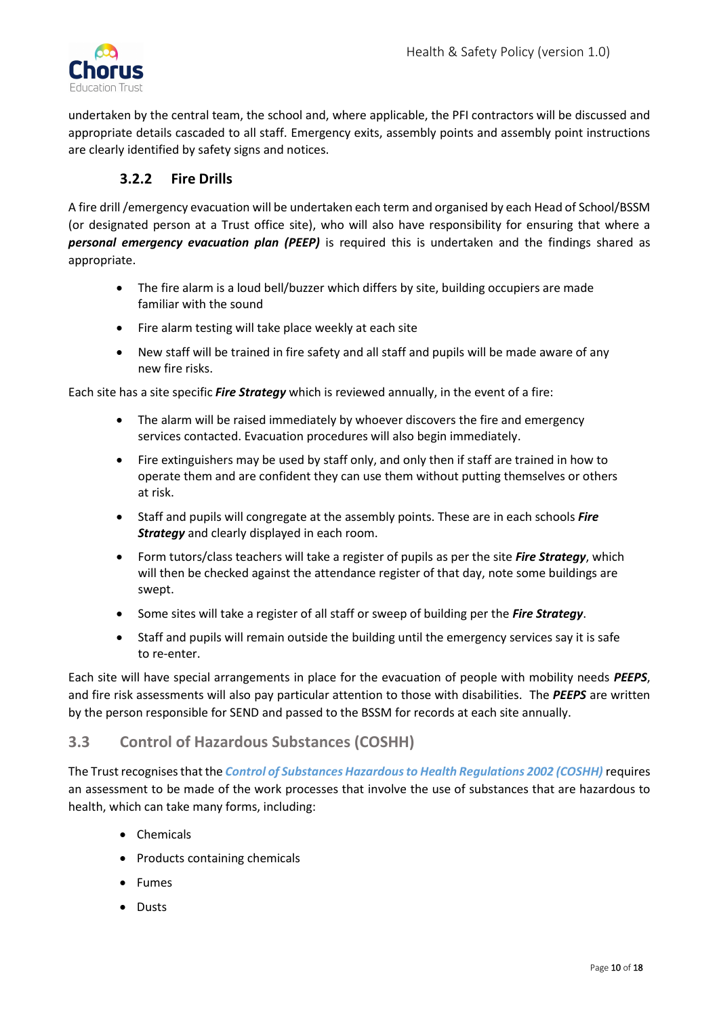

undertaken by the central team, the school and, where applicable, the PFI contractors will be discussed and appropriate details cascaded to all staff. Emergency exits, assembly points and assembly point instructions are clearly identified by safety signs and notices.

# **3.2.2 Fire Drills**

<span id="page-9-0"></span>A fire drill /emergency evacuation will be undertaken each term and organised by each Head of School/BSSM (or designated person at a Trust office site), who will also have responsibility for ensuring that where a *personal emergency evacuation plan (PEEP)* is required this is undertaken and the findings shared as appropriate.

- The fire alarm is a loud bell/buzzer which differs by site, building occupiers are made familiar with the sound
- Fire alarm testing will take place weekly at each site
- New staff will be trained in fire safety and all staff and pupils will be made aware of any new fire risks.

Each site has a site specific *Fire Strategy* which is reviewed annually, in the event of a fire:

- The alarm will be raised immediately by whoever discovers the fire and emergency services contacted. Evacuation procedures will also begin immediately.
- Fire extinguishers may be used by staff only, and only then if staff are trained in how to operate them and are confident they can use them without putting themselves or others at risk.
- Staff and pupils will congregate at the assembly points. These are in each schools *Fire Strategy* and clearly displayed in each room.
- Form tutors/class teachers will take a register of pupils as per the site *Fire Strategy*, which will then be checked against the attendance register of that day, note some buildings are swept.
- Some sites will take a register of all staff or sweep of building per the *Fire Strategy*.
- Staff and pupils will remain outside the building until the emergency services say it is safe to re-enter.

Each site will have special arrangements in place for the evacuation of people with mobility needs *PEEPS*, and fire risk assessments will also pay particular attention to those with disabilities. The *PEEPS* are written by the person responsible for SEND and passed to the BSSM for records at each site annually.

# <span id="page-9-1"></span>**3.3 Control of Hazardous Substances (COSHH)**

The Trust recognises that the *Control of Substances Hazardous to Health Regulations 2002 (COSHH)* requires an assessment to be made of the work processes that involve the use of substances that are hazardous to health, which can take many forms, including:

- Chemicals
- Products containing chemicals
- Fumes
- Dusts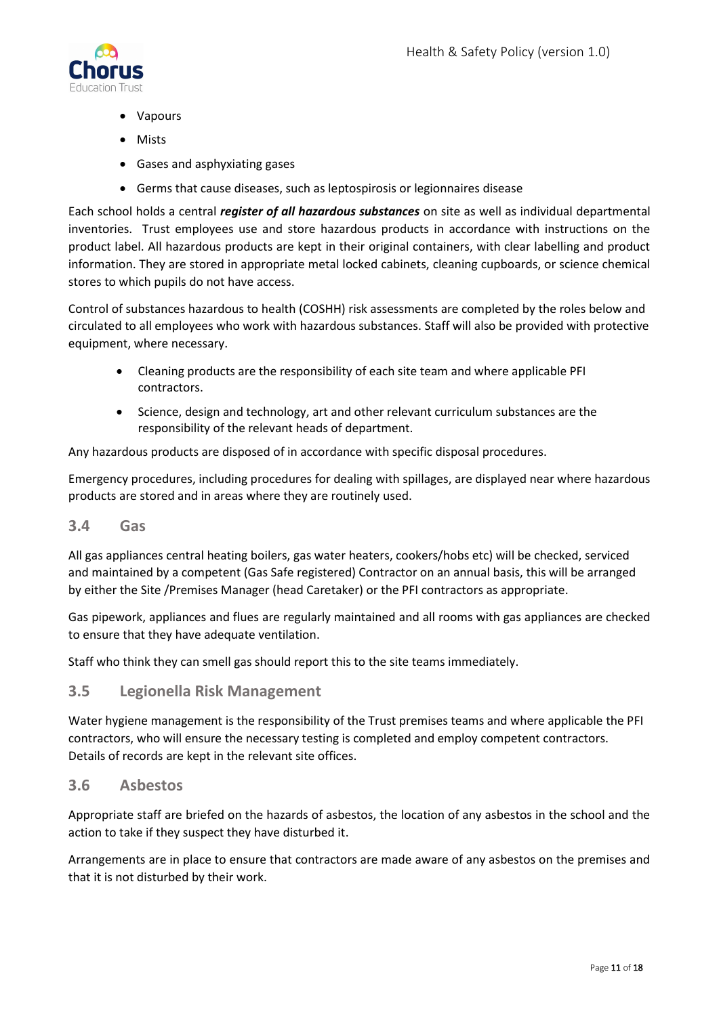

- Vapours
- Mists
- Gases and asphyxiating gases
- Germs that cause diseases, such as leptospirosis or legionnaires disease

Each school holds a central *register of all hazardous substances* on site as well as individual departmental inventories. Trust employees use and store hazardous products in accordance with instructions on the product label. All hazardous products are kept in their original containers, with clear labelling and product information. They are stored in appropriate metal locked cabinets, cleaning cupboards, or science chemical stores to which pupils do not have access.

Control of substances hazardous to health (COSHH) risk assessments are completed by the roles below and circulated to all employees who work with hazardous substances. Staff will also be provided with protective equipment, where necessary.

- Cleaning products are the responsibility of each site team and where applicable PFI contractors.
- Science, design and technology, art and other relevant curriculum substances are the responsibility of the relevant heads of department.

Any hazardous products are disposed of in accordance with specific disposal procedures.

Emergency procedures, including procedures for dealing with spillages, are displayed near where hazardous products are stored and in areas where they are routinely used.

#### <span id="page-10-0"></span>**3.4 Gas**

All gas appliances central heating boilers, gas water heaters, cookers/hobs etc) will be checked, serviced and maintained by a competent (Gas Safe registered) Contractor on an annual basis, this will be arranged by either the Site /Premises Manager (head Caretaker) or the PFI contractors as appropriate.

Gas pipework, appliances and flues are regularly maintained and all rooms with gas appliances are checked to ensure that they have adequate ventilation.

Staff who think they can smell gas should report this to the site teams immediately.

#### <span id="page-10-1"></span>**3.5 Legionella Risk Management**

Water hygiene management is the responsibility of the Trust premises teams and where applicable the PFI contractors, who will ensure the necessary testing is completed and employ competent contractors. Details of records are kept in the relevant site offices.

#### <span id="page-10-2"></span>**3.6 Asbestos**

Appropriate staff are briefed on the hazards of asbestos, the location of any asbestos in the school and the action to take if they suspect they have disturbed it.

Arrangements are in place to ensure that contractors are made aware of any asbestos on the premises and that it is not disturbed by their work.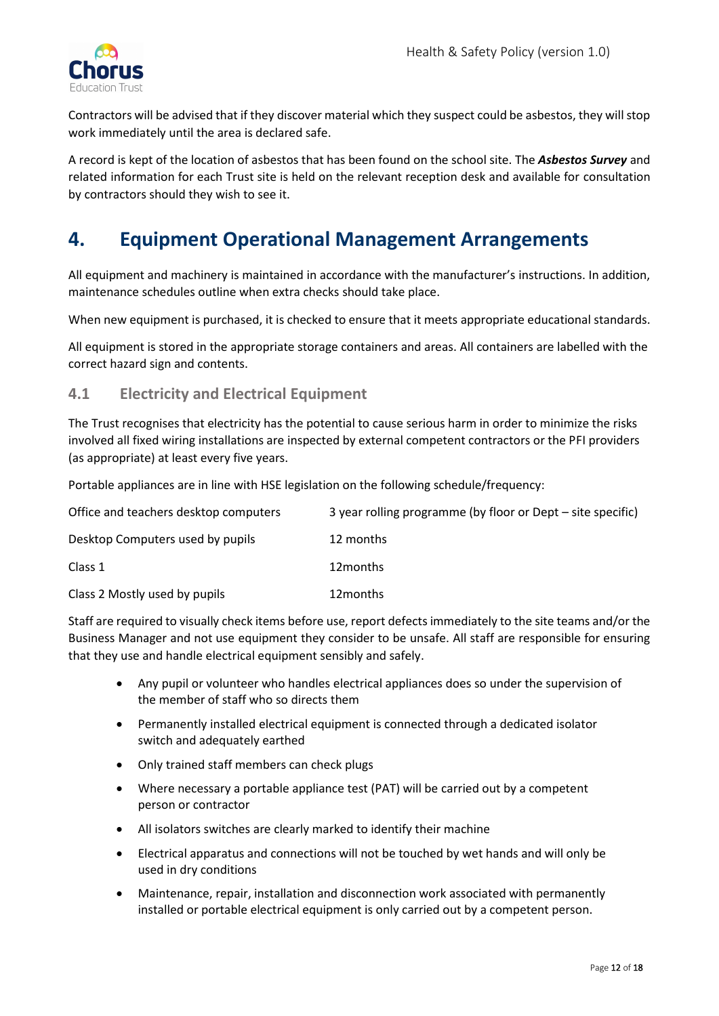

Contractors will be advised that if they discover material which they suspect could be asbestos, they will stop work immediately until the area is declared safe.

A record is kept of the location of asbestos that has been found on the school site. The *Asbestos Survey* and related information for each Trust site is held on the relevant reception desk and available for consultation by contractors should they wish to see it.

# <span id="page-11-0"></span>**4. Equipment Operational Management Arrangements**

All equipment and machinery is maintained in accordance with the manufacturer's instructions. In addition, maintenance schedules outline when extra checks should take place.

When new equipment is purchased, it is checked to ensure that it meets appropriate educational standards.

All equipment is stored in the appropriate storage containers and areas. All containers are labelled with the correct hazard sign and contents.

# <span id="page-11-1"></span>**4.1 Electricity and Electrical Equipment**

The Trust recognises that electricity has the potential to cause serious harm in order to minimize the risks involved all fixed wiring installations are inspected by external competent contractors or the PFI providers (as appropriate) at least every five years.

Portable appliances are in line with HSE legislation on the following schedule/frequency:

| Office and teachers desktop computers | 3 year rolling programme (by floor or Dept – site specific) |
|---------------------------------------|-------------------------------------------------------------|
| Desktop Computers used by pupils      | 12 months                                                   |
| Class 1                               | 12 months                                                   |
| Class 2 Mostly used by pupils         | 12 months                                                   |

Staff are required to visually check items before use, report defects immediately to the site teams and/or the Business Manager and not use equipment they consider to be unsafe. All staff are responsible for ensuring that they use and handle electrical equipment sensibly and safely.

- Any pupil or volunteer who handles electrical appliances does so under the supervision of the member of staff who so directs them
- Permanently installed electrical equipment is connected through a dedicated isolator switch and adequately earthed
- Only trained staff members can check plugs
- Where necessary a portable appliance test (PAT) will be carried out by a competent person or contractor
- All isolators switches are clearly marked to identify their machine
- Electrical apparatus and connections will not be touched by wet hands and will only be used in dry conditions
- Maintenance, repair, installation and disconnection work associated with permanently installed or portable electrical equipment is only carried out by a competent person.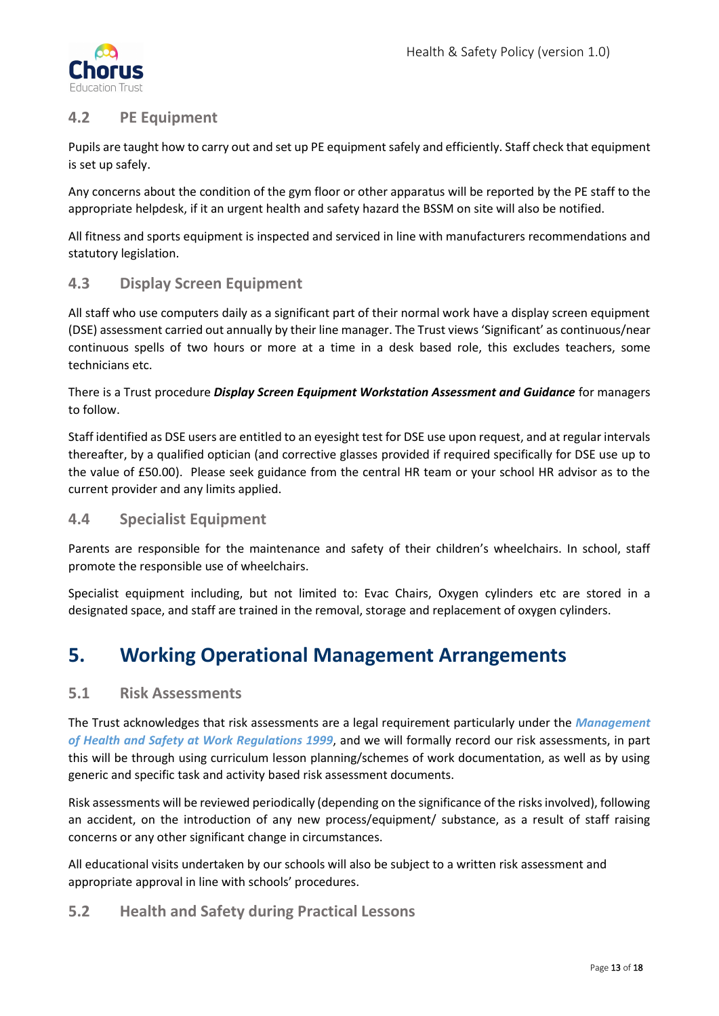

# <span id="page-12-0"></span>**4.2 PE Equipment**

Pupils are taught how to carry out and set up PE equipment safely and efficiently. Staff check that equipment is set up safely.

Any concerns about the condition of the gym floor or other apparatus will be reported by the PE staff to the appropriate helpdesk, if it an urgent health and safety hazard the BSSM on site will also be notified.

All fitness and sports equipment is inspected and serviced in line with manufacturers recommendations and statutory legislation.

# <span id="page-12-1"></span>**4.3 Display Screen Equipment**

All staff who use computers daily as a significant part of their normal work have a display screen equipment (DSE) assessment carried out annually by their line manager. The Trust views 'Significant' as continuous/near continuous spells of two hours or more at a time in a desk based role, this excludes teachers, some technicians etc.

There is a Trust procedure *Display Screen Equipment Workstation Assessment and Guidance* for managers to follow.

Staff identified as DSE users are entitled to an eyesight test for DSE use upon request, and at regular intervals thereafter, by a qualified optician (and corrective glasses provided if required specifically for DSE use up to the value of £50.00). Please seek guidance from the central HR team or your school HR advisor as to the current provider and any limits applied.

# <span id="page-12-2"></span>**4.4 Specialist Equipment**

Parents are responsible for the maintenance and safety of their children's wheelchairs. In school, staff promote the responsible use of wheelchairs.

Specialist equipment including, but not limited to: Evac Chairs, Oxygen cylinders etc are stored in a designated space, and staff are trained in the removal, storage and replacement of oxygen cylinders.

# <span id="page-12-3"></span>**5. Working Operational Management Arrangements**

#### <span id="page-12-4"></span>**5.1 Risk Assessments**

The Trust acknowledges that risk assessments are a legal requirement particularly under the *Management of Health and Safety at Work Regulations 1999*, and we will formally record our risk assessments, in part this will be through using curriculum lesson planning/schemes of work documentation, as well as by using generic and specific task and activity based risk assessment documents.

Risk assessments will be reviewed periodically (depending on the significance of the risks involved), following an accident, on the introduction of any new process/equipment/ substance, as a result of staff raising concerns or any other significant change in circumstances.

All educational visits undertaken by our schools will also be subject to a written risk assessment and appropriate approval in line with schools' procedures.

#### <span id="page-12-5"></span>**5.2 Health and Safety during Practical Lessons**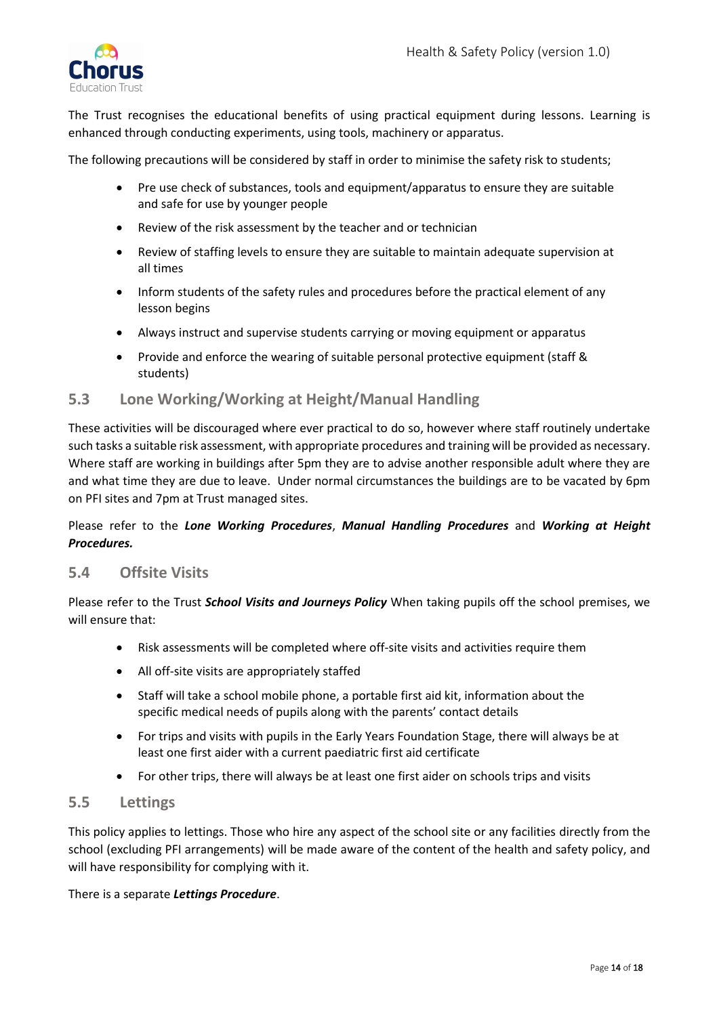

The Trust recognises the educational benefits of using practical equipment during lessons. Learning is enhanced through conducting experiments, using tools, machinery or apparatus.

The following precautions will be considered by staff in order to minimise the safety risk to students;

- Pre use check of substances, tools and equipment/apparatus to ensure they are suitable and safe for use by younger people
- Review of the risk assessment by the teacher and or technician
- Review of staffing levels to ensure they are suitable to maintain adequate supervision at all times
- Inform students of the safety rules and procedures before the practical element of any lesson begins
- Always instruct and supervise students carrying or moving equipment or apparatus
- Provide and enforce the wearing of suitable personal protective equipment (staff & students)

#### <span id="page-13-0"></span>**5.3 Lone Working/Working at Height/Manual Handling**

These activities will be discouraged where ever practical to do so, however where staff routinely undertake such tasks a suitable risk assessment, with appropriate procedures and training will be provided as necessary. Where staff are working in buildings after 5pm they are to advise another responsible adult where they are and what time they are due to leave. Under normal circumstances the buildings are to be vacated by 6pm on PFI sites and 7pm at Trust managed sites.

Please refer to the *Lone Working Procedures*, *Manual Handling Procedures* and *Working at Height Procedures.*

#### <span id="page-13-1"></span>**5.4 Offsite Visits**

Please refer to the Trust *School Visits and Journeys Policy* When taking pupils off the school premises, we will ensure that:

- Risk assessments will be completed where off-site visits and activities require them
- All off-site visits are appropriately staffed
- Staff will take a school mobile phone, a portable first aid kit, information about the specific medical needs of pupils along with the parents' contact details
- For trips and visits with pupils in the Early Years Foundation Stage, there will always be at least one first aider with a current paediatric first aid certificate
- For other trips, there will always be at least one first aider on schools trips and visits

#### <span id="page-13-2"></span>**5.5 Lettings**

This policy applies to lettings. Those who hire any aspect of the school site or any facilities directly from the school (excluding PFI arrangements) will be made aware of the content of the health and safety policy, and will have responsibility for complying with it.

#### There is a separate *Lettings Procedure*.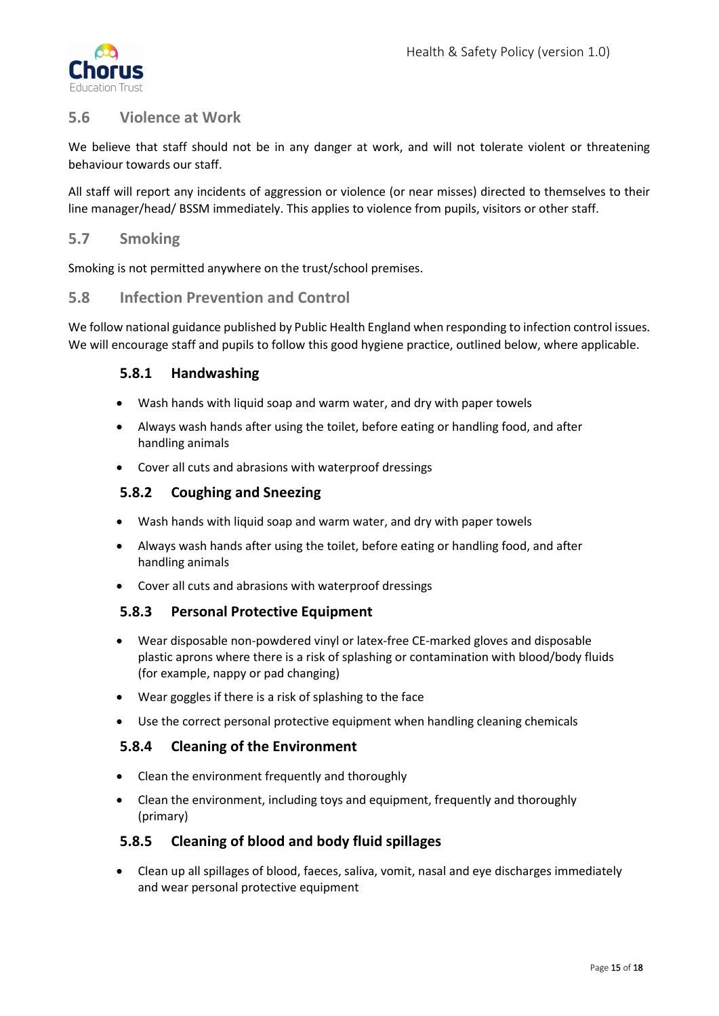

# <span id="page-14-0"></span>**5.6 Violence at Work**

We believe that staff should not be in any danger at work, and will not tolerate violent or threatening behaviour towards our staff.

All staff will report any incidents of aggression or violence (or near misses) directed to themselves to their line manager/head/ BSSM immediately. This applies to violence from pupils, visitors or other staff.

### <span id="page-14-1"></span>**5.7 Smoking**

Smoking is not permitted anywhere on the trust/school premises.

#### <span id="page-14-2"></span>**5.8 Infection Prevention and Control**

<span id="page-14-3"></span>We follow national guidance published by Public Health England when responding to infection control issues. We will encourage staff and pupils to follow this good hygiene practice, outlined below, where applicable.

#### **5.8.1 Handwashing**

- Wash hands with liquid soap and warm water, and dry with paper towels
- Always wash hands after using the toilet, before eating or handling food, and after handling animals
- Cover all cuts and abrasions with waterproof dressings

#### <span id="page-14-4"></span>**5.8.2 Coughing and Sneezing**

- Wash hands with liquid soap and warm water, and dry with paper towels
- Always wash hands after using the toilet, before eating or handling food, and after handling animals
- Cover all cuts and abrasions with waterproof dressings

#### <span id="page-14-5"></span>**5.8.3 Personal Protective Equipment**

- Wear disposable non-powdered vinyl or latex-free CE-marked gloves and disposable plastic aprons where there is a risk of splashing or contamination with blood/body fluids (for example, nappy or pad changing)
- Wear goggles if there is a risk of splashing to the face
- Use the correct personal protective equipment when handling cleaning chemicals

#### <span id="page-14-6"></span>**5.8.4 Cleaning of the Environment**

- Clean the environment frequently and thoroughly
- Clean the environment, including toys and equipment, frequently and thoroughly (primary)

#### <span id="page-14-7"></span>**5.8.5 Cleaning of blood and body fluid spillages**

• Clean up all spillages of blood, faeces, saliva, vomit, nasal and eye discharges immediately and wear personal protective equipment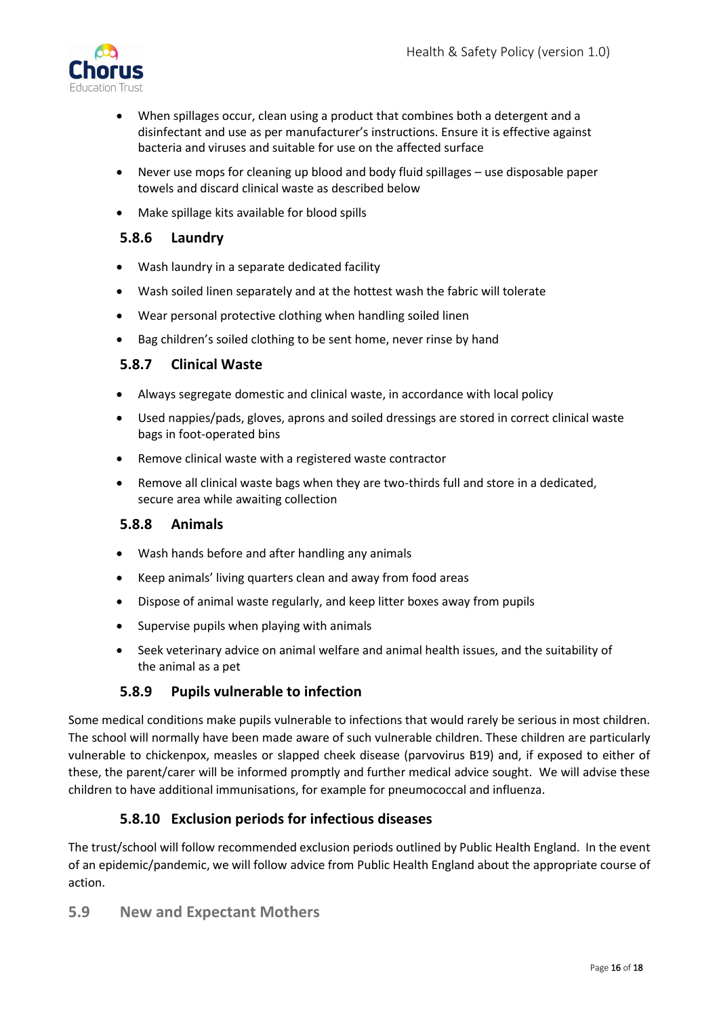

- When spillages occur, clean using a product that combines both a detergent and a disinfectant and use as per manufacturer's instructions. Ensure it is effective against bacteria and viruses and suitable for use on the affected surface
- Never use mops for cleaning up blood and body fluid spillages use disposable paper towels and discard clinical waste as described below
- Make spillage kits available for blood spills

### <span id="page-15-0"></span>**5.8.6 Laundry**

- Wash laundry in a separate dedicated facility
- Wash soiled linen separately and at the hottest wash the fabric will tolerate
- Wear personal protective clothing when handling soiled linen
- Bag children's soiled clothing to be sent home, never rinse by hand

#### <span id="page-15-1"></span>**5.8.7 Clinical Waste**

- Always segregate domestic and clinical waste, in accordance with local policy
- Used nappies/pads, gloves, aprons and soiled dressings are stored in correct clinical waste bags in foot-operated bins
- Remove clinical waste with a registered waste contractor
- Remove all clinical waste bags when they are two-thirds full and store in a dedicated, secure area while awaiting collection

#### <span id="page-15-2"></span>**5.8.8 Animals**

- Wash hands before and after handling any animals
- Keep animals' living quarters clean and away from food areas
- Dispose of animal waste regularly, and keep litter boxes away from pupils
- Supervise pupils when playing with animals
- Seek veterinary advice on animal welfare and animal health issues, and the suitability of the animal as a pet

# **5.8.9 Pupils vulnerable to infection**

<span id="page-15-3"></span>Some medical conditions make pupils vulnerable to infections that would rarely be serious in most children. The school will normally have been made aware of such vulnerable children. These children are particularly vulnerable to chickenpox, measles or slapped cheek disease (parvovirus B19) and, if exposed to either of these, the parent/carer will be informed promptly and further medical advice sought. We will advise these children to have additional immunisations, for example for pneumococcal and influenza.

# **5.8.10 Exclusion periods for infectious diseases**

<span id="page-15-4"></span>The trust/school will follow recommended exclusion periods outlined by Public Health England. In the event of an epidemic/pandemic, we will follow advice from Public Health England about the appropriate course of action.

<span id="page-15-5"></span>**5.9 New and Expectant Mothers**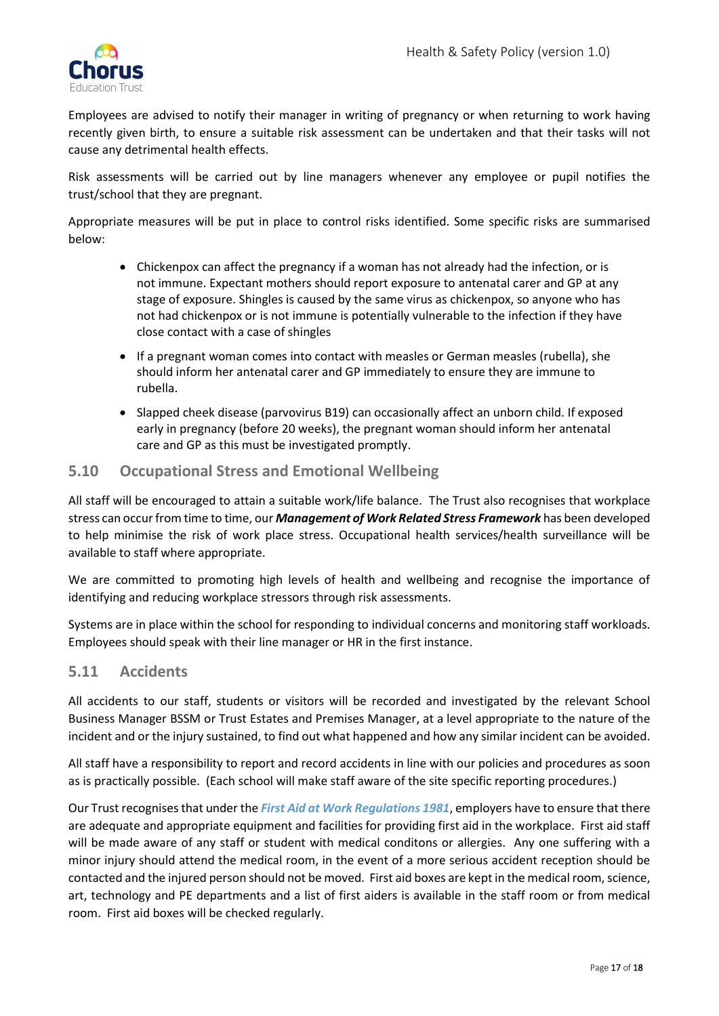

Employees are advised to notify their manager in writing of pregnancy or when returning to work having recently given birth, to ensure a suitable risk assessment can be undertaken and that their tasks will not cause any detrimental health effects.

Risk assessments will be carried out by line managers whenever any employee or pupil notifies the trust/school that they are pregnant.

Appropriate measures will be put in place to control risks identified. Some specific risks are summarised below:

- Chickenpox can affect the pregnancy if a woman has not already had the infection, or is not immune. Expectant mothers should report exposure to antenatal carer and GP at any stage of exposure. Shingles is caused by the same virus as chickenpox, so anyone who has not had chickenpox or is not immune is potentially vulnerable to the infection if they have close contact with a case of shingles
- If a pregnant woman comes into contact with measles or German measles (rubella), she should inform her antenatal carer and GP immediately to ensure they are immune to rubella.
- Slapped cheek disease (parvovirus B19) can occasionally affect an unborn child. If exposed early in pregnancy (before 20 weeks), the pregnant woman should inform her antenatal care and GP as this must be investigated promptly.

#### <span id="page-16-0"></span>**5.10 Occupational Stress and Emotional Wellbeing**

All staff will be encouraged to attain a suitable work/life balance. The Trust also recognises that workplace stress can occur from time to time, our *Management of Work Related Stress Framework* has been developed to help minimise the risk of work place stress. Occupational health services/health surveillance will be available to staff where appropriate.

We are committed to promoting high levels of health and wellbeing and recognise the importance of identifying and reducing workplace stressors through risk assessments.

Systems are in place within the school for responding to individual concerns and monitoring staff workloads. Employees should speak with their line manager or HR in the first instance.

#### <span id="page-16-1"></span>**5.11 Accidents**

All accidents to our staff, students or visitors will be recorded and investigated by the relevant School Business Manager BSSM or Trust Estates and Premises Manager, at a level appropriate to the nature of the incident and or the injury sustained, to find out what happened and how any similar incident can be avoided.

All staff have a responsibility to report and record accidents in line with our policies and procedures as soon as is practically possible. (Each school will make staff aware of the site specific reporting procedures.)

Our Trust recognises that under the *First Aid at Work Regulations 1981*, employers have to ensure that there are adequate and appropriate equipment and facilities for providing first aid in the workplace. First aid staff will be made aware of any staff or student with medical conditons or allergies. Any one suffering with a minor injury should attend the medical room, in the event of a more serious accident reception should be contacted and the injured person should not be moved. First aid boxes are kept in the medical room, science, art, technology and PE departments and a list of first aiders is available in the staff room or from medical room. First aid boxes will be checked regularly.